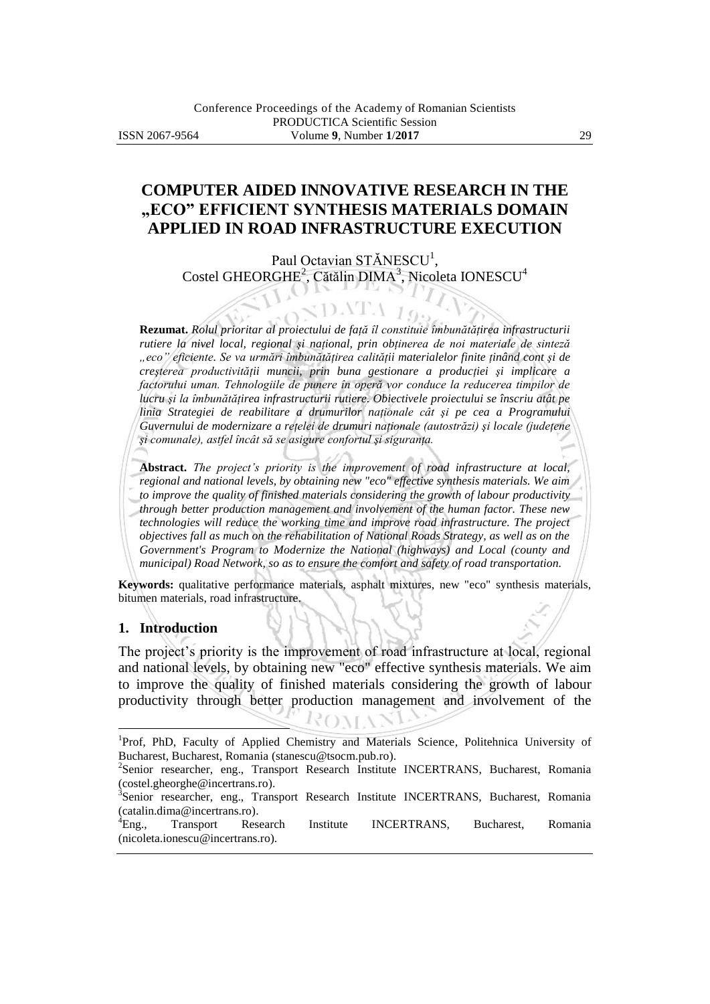# **COMPUTER AIDED INNOVATIVE RESEARCH IN THE "ECO" EFFICIENT SYNTHESIS MATERIALS DOMAIN APPLIED IN ROAD INFRASTRUCTURE EXECUTION**

Paul Octavian STĂNESCU<sup>1</sup>, Costel GHEORGHE<sup>2</sup>, Cătălin DIMA<sup>3</sup>, Nicoleta IONESCU<sup>4</sup>

 $\langle$ DATA  $I_9$ .

**Rezumat.** *Rolul prioritar al proiectului de faţă îl constituie îmbunătăţirea infrastructurii rutiere la nivel local, regional şi naţional, prin obţinerea de noi materiale de sinteză "eco" eficiente. Se va urmări îmbunătăţirea calităţii materialelor finite ţinând cont şi de creşterea productivităţii muncii, prin buna gestionare a producţiei şi implicare a factorului uman. Tehnologiile de punere în operă vor conduce la reducerea timpilor de lucru şi la îmbunătăţirea infrastructurii rutiere. Obiectivele proiectului se înscriu atât pe linia Strategiei de reabilitare a drumurilor naţionale cât şi pe cea a Programului Guvernului de modernizare a reţelei de drumuri naţionale (autostrăzi) şi locale (judeţene şi comunale), astfel încât să se asigure confortul şi siguranţa.*

**Abstract.** *The project's priority is the improvement of road infrastructure at local, regional and national levels, by obtaining new "eco" effective synthesis materials. We aim to improve the quality of finished materials considering the growth of labour productivity through better production management and involvement of the human factor. These new technologies will reduce the working time and improve road infrastructure. The project objectives fall as much on the rehabilitation of National Roads Strategy, as well as on the Government's Program to Modernize the National (highways) and Local (county and municipal) Road Network, so as to ensure the comfort and safety of road transportation.*

**Keywords:** qualitative performance materials, asphalt mixtures, new "eco" synthesis materials, bitumen materials, road infrastructure.

### **1. Introduction**

 $\overline{a}$ 

The project's priority is the improvement of road infrastructure at local, regional and national levels, by obtaining new "eco" effective synthesis materials. We aim to improve the quality of finished materials considering the growth of labour productivity through better production management and involvement of the

<sup>&</sup>lt;sup>1</sup>Prof, PhD, Faculty of Applied Chemistry and Materials Science, Politehnica University of Bucharest, Bucharest, Romania (stanescu@tsocm.pub.ro).

<sup>&</sup>lt;sup>2</sup>Senior researcher, eng., Transport Research Institute INCERTRANS, Bucharest, Romania (costel.gheorghe@incertrans.ro).

<sup>&</sup>lt;sup>3</sup>Senior researcher, eng., Transport Research Institute INCERTRANS, Bucharest, Romania (catalin.dima@incertrans.ro).

<sup>4</sup>Eng., Transport Research Institute INCERTRANS, Bucharest, Romania (nicoleta.ionescu@incertrans.ro).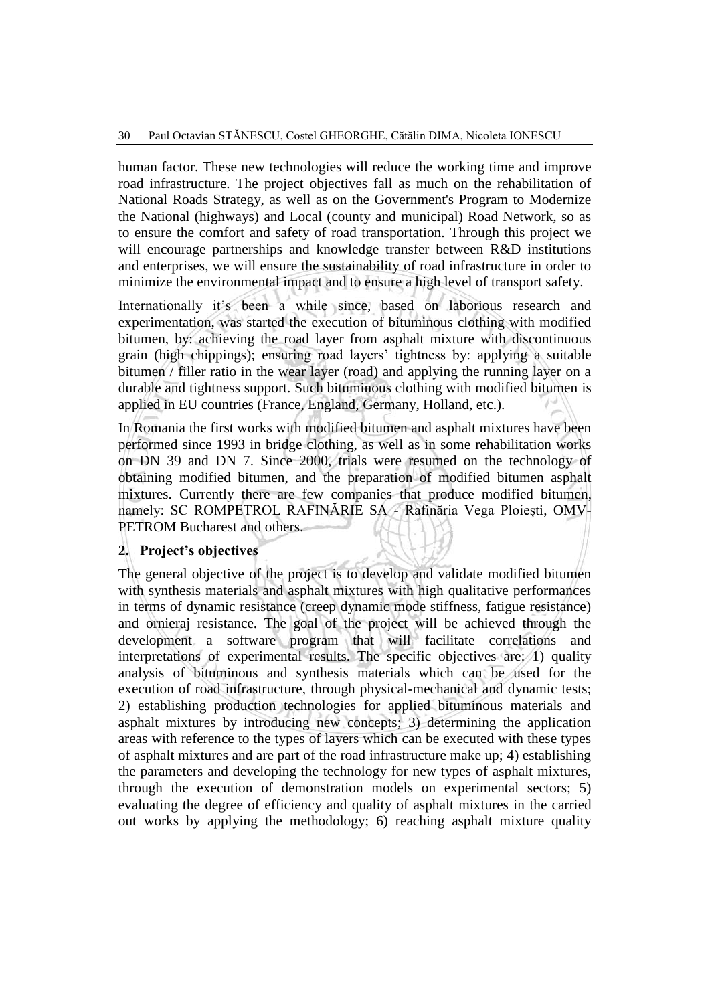human factor. These new technologies will reduce the working time and improve road infrastructure. The project objectives fall as much on the rehabilitation of National Roads Strategy, as well as on the Government's Program to Modernize the National (highways) and Local (county and municipal) Road Network, so as to ensure the comfort and safety of road transportation. Through this project we will encourage partnerships and knowledge transfer between R&D institutions and enterprises, we will ensure the sustainability of road infrastructure in order to minimize the environmental impact and to ensure a high level of transport safety.

Internationally it's been a while since, based on laborious research and experimentation, was started the execution of bituminous clothing with modified bitumen, by: achieving the road layer from asphalt mixture with discontinuous grain (high chippings); ensuring road layers' tightness by: applying a suitable bitumen / filler ratio in the wear layer (road) and applying the running layer on a durable and tightness support. Such bituminous clothing with modified bitumen is applied in EU countries (France, England, Germany, Holland, etc.).

In Romania the first works with modified bitumen and asphalt mixtures have been performed since 1993 in bridge clothing, as well as in some rehabilitation works on DN 39 and DN 7. Since 2000, trials were resumed on the technology of obtaining modified bitumen, and the preparation of modified bitumen asphalt mixtures. Currently there are few companies that produce modified bitumen, namely: SC ROMPETROL RAFINĂRIE SA - Rafinăria Vega Ploieşti, OMV-PETROM Bucharest and others.

### **2. Project's objectives**

The general objective of the project is to develop and validate modified bitumen with synthesis materials and asphalt mixtures with high qualitative performances in terms of dynamic resistance (creep dynamic mode stiffness, fatigue resistance) and ornieraj resistance. The goal of the project will be achieved through the development a software program that will facilitate correlations and interpretations of experimental results. The specific objectives are: 1) quality analysis of bituminous and synthesis materials which can be used for the execution of road infrastructure, through physical-mechanical and dynamic tests; 2) establishing production technologies for applied bituminous materials and asphalt mixtures by introducing new concepts; 3) determining the application areas with reference to the types of layers which can be executed with these types of asphalt mixtures and are part of the road infrastructure make up; 4) establishing the parameters and developing the technology for new types of asphalt mixtures, through the execution of demonstration models on experimental sectors; 5) evaluating the degree of efficiency and quality of asphalt mixtures in the carried out works by applying the methodology; 6) reaching asphalt mixture quality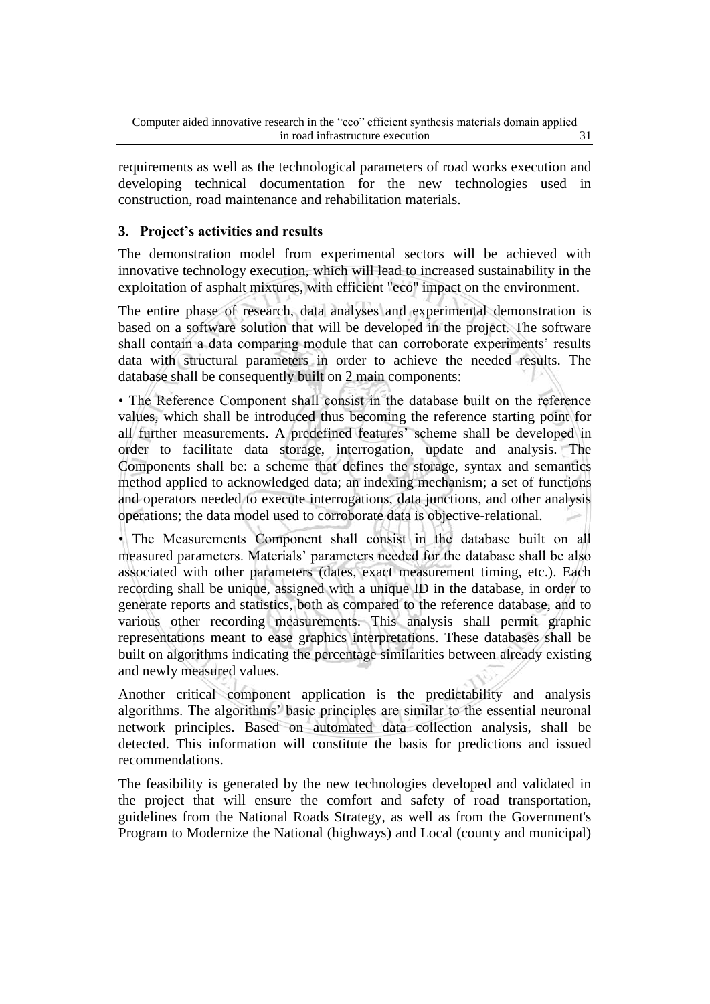requirements as well as the technological parameters of road works execution and developing technical documentation for the new technologies used in construction, road maintenance and rehabilitation materials.

## **3. Project's activities and results**

The demonstration model from experimental sectors will be achieved with innovative technology execution, which will lead to increased sustainability in the exploitation of asphalt mixtures, with efficient "eco" impact on the environment.

The entire phase of research, data analyses and experimental demonstration is based on a software solution that will be developed in the project. The software shall contain a data comparing module that can corroborate experiments' results data with structural parameters in order to achieve the needed results. The database shall be consequently built on 2 main components:

• The Reference Component shall consist in the database built on the reference values, which shall be introduced thus becoming the reference starting point for all further measurements. A predefined features' scheme shall be developed in order to facilitate data storage, interrogation, update and analysis. The Components shall be: a scheme that defines the storage, syntax and semantics method applied to acknowledged data; an indexing mechanism; a set of functions and operators needed to execute interrogations, data junctions, and other analysis operations; the data model used to corroborate data is objective-relational.

• The Measurements Component shall consist in the database built on all measured parameters. Materials' parameters needed for the database shall be also associated with other parameters (dates, exact measurement timing, etc.). Each recording shall be unique, assigned with a unique ID in the database, in order to generate reports and statistics, both as compared to the reference database, and to various other recording measurements. This analysis shall permit graphic representations meant to ease graphics interpretations. These databases shall be built on algorithms indicating the percentage similarities between already existing and newly measured values.

Another critical component application is the predictability and analysis algorithms. The algorithms' basic principles are similar to the essential neuronal network principles. Based on automated data collection analysis, shall be detected. This information will constitute the basis for predictions and issued recommendations.

The feasibility is generated by the new technologies developed and validated in the project that will ensure the comfort and safety of road transportation, guidelines from the National Roads Strategy, as well as from the Government's Program to Modernize the National (highways) and Local (county and municipal)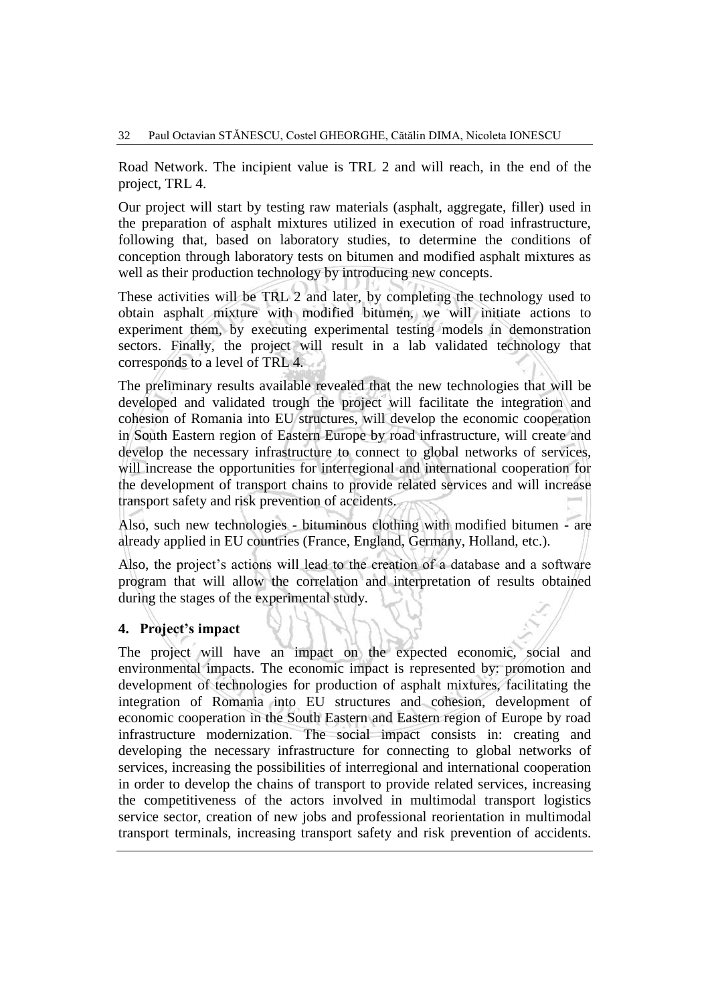Road Network. The incipient value is TRL 2 and will reach, in the end of the project, TRL 4.

Our project will start by testing raw materials (asphalt, aggregate, filler) used in the preparation of asphalt mixtures utilized in execution of road infrastructure, following that, based on laboratory studies, to determine the conditions of conception through laboratory tests on bitumen and modified asphalt mixtures as well as their production technology by introducing new concepts.

These activities will be TRL 2 and later, by completing the technology used to obtain asphalt mixture with modified bitumen, we will initiate actions to experiment them, by executing experimental testing models in demonstration sectors. Finally, the project will result in a lab validated technology that corresponds to a level of TRL 4.

The preliminary results available revealed that the new technologies that will be developed and validated trough the project will facilitate the integration and cohesion of Romania into EU structures, will develop the economic cooperation in South Eastern region of Eastern Europe by road infrastructure, will create and develop the necessary infrastructure to connect to global networks of services, will increase the opportunities for interregional and international cooperation for the development of transport chains to provide related services and will increase transport safety and risk prevention of accidents.

Also, such new technologies - bituminous clothing with modified bitumen - are already applied in EU countries (France, England, Germany, Holland, etc.).

Also, the project's actions will lead to the creation of a database and a software program that will allow the correlation and interpretation of results obtained during the stages of the experimental study.

### **4. Project's impact**

The project will have an impact on the expected economic, social and environmental impacts. The economic impact is represented by: promotion and development of technologies for production of asphalt mixtures, facilitating the integration of Romania into EU structures and cohesion, development of economic cooperation in the South Eastern and Eastern region of Europe by road infrastructure modernization. The social impact consists in: creating and developing the necessary infrastructure for connecting to global networks of services, increasing the possibilities of interregional and international cooperation in order to develop the chains of transport to provide related services, increasing the competitiveness of the actors involved in multimodal transport logistics service sector, creation of new jobs and professional reorientation in multimodal transport terminals, increasing transport safety and risk prevention of accidents.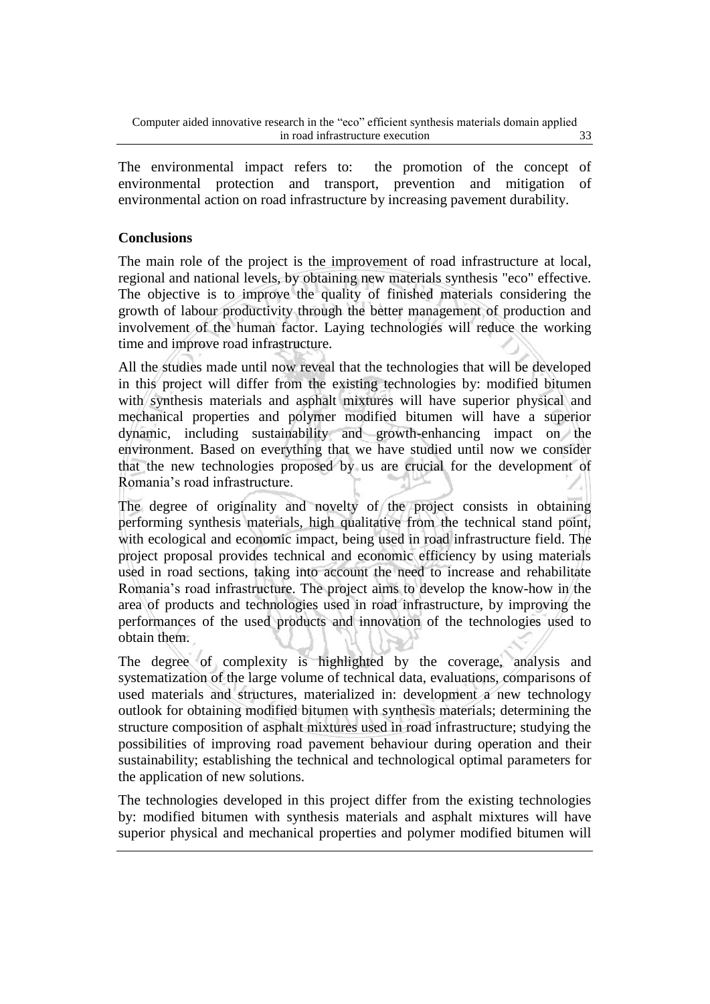The environmental impact refers to: the promotion of the concept of environmental protection and transport, prevention and mitigation of environmental action on road infrastructure by increasing pavement durability.

### **Conclusions**

The main role of the project is the improvement of road infrastructure at local, regional and national levels, by obtaining new materials synthesis "eco" effective. The objective is to improve the quality of finished materials considering the growth of labour productivity through the better management of production and involvement of the human factor. Laying technologies will reduce the working time and improve road infrastructure.

All the studies made until now reveal that the technologies that will be developed in this project will differ from the existing technologies by: modified bitumen with synthesis materials and asphalt mixtures will have superior physical and mechanical properties and polymer modified bitumen will have a superior dynamic, including sustainability and growth-enhancing impact on the environment. Based on everything that we have studied until now we consider that the new technologies proposed by us are crucial for the development of Romania's road infrastructure.

The degree of originality and novelty of the project consists in obtaining performing synthesis materials, high qualitative from the technical stand point, with ecological and economic impact, being used in road infrastructure field. The project proposal provides technical and economic efficiency by using materials used in road sections, taking into account the need to increase and rehabilitate Romania's road infrastructure. The project aims to develop the know-how in the area of products and technologies used in road infrastructure, by improving the performances of the used products and innovation of the technologies used to obtain them.

The degree of complexity is highlighted by the coverage, analysis and systematization of the large volume of technical data, evaluations, comparisons of used materials and structures, materialized in: development a new technology outlook for obtaining modified bitumen with synthesis materials; determining the structure composition of asphalt mixtures used in road infrastructure; studying the possibilities of improving road pavement behaviour during operation and their sustainability; establishing the technical and technological optimal parameters for the application of new solutions.

The technologies developed in this project differ from the existing technologies by: modified bitumen with synthesis materials and asphalt mixtures will have superior physical and mechanical properties and polymer modified bitumen will